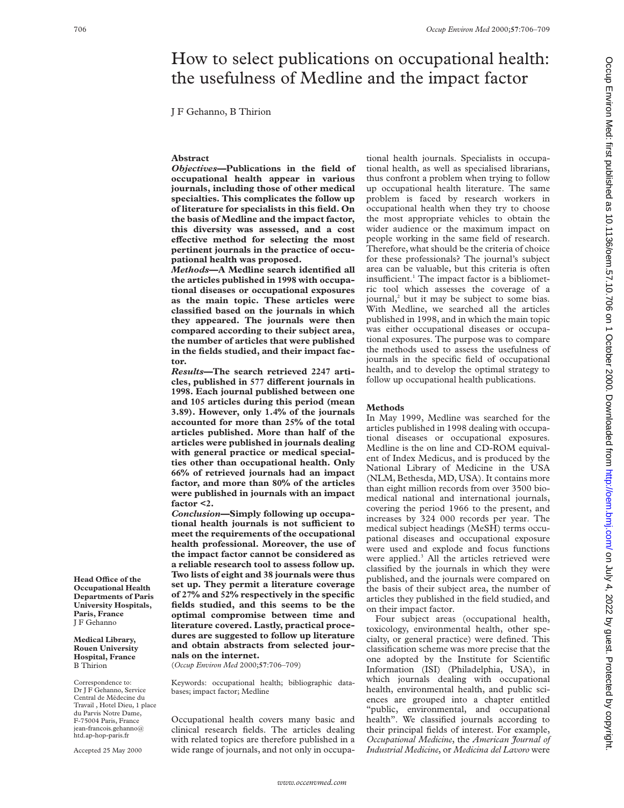# How to select publications on occupational health: the usefulness of Medline and the impact factor

J F Gehanno, B Thirion

## **Abstract**

*Objectives***—Publications in the field of occupational health appear in various journals, including those of other medical specialties. This complicates the follow up of literature for specialists in this field. On the basis of Medline and the impact factor, this diversity was assessed, and a cost** effective method for selecting the most **pertinent journals in the practice of occupational health was proposed.**

*Methods***—A Medline search identified all the articles published in 1998 with occupational diseases or occupational exposures as the main topic. These articles were classified based on the journals in which they appeared. The journals were then compared according to their subject area, the number of articles that were published in the fields studied, and their impact factor.**

*Results***—The search retrieved 2247 arti**cles, published in 577 different journals in **1998. Each journal published between one and 105 articles during this period (mean 3.89). However, only 1.4% of the journals accounted for more than 25% of the total articles published. More than half of the articles were published in journals dealing with general practice or medical specialties other than occupational health. Only 66% of retrieved journals had an impact factor, and more than 80% of the articles were published in journals with an impact factor <2.**

*Conclusion***—Simply following up occupational health journals is not suYcient to meet the requirements of the occupational health professional. Moreover, the use of the impact factor cannot be considered as a reliable research tool to assess follow up. Two lists of eight and 38 journals were thus set up. They permit a literature coverage of 27% and 52% respectively in the specific fields studied, and this seems to be the optimal compromise between time and literature covered. Lastly, practical procedures are suggested to follow up literature and obtain abstracts from selected journals on the internet.**

(*Occup Environ Med* 2000;**57**:706–709)

Keywords: occupational health; bibliographic databases; impact factor; Medline

Occupational health covers many basic and clinical research fields. The articles dealing with related topics are therefore published in a wide range of journals, and not only in occupa-

tional health journals. Specialists in occupational health, as well as specialised librarians, thus confront a problem when trying to follow up occupational health literature. The same problem is faced by research workers in occupational health when they try to choose the most appropriate vehicles to obtain the wider audience or the maximum impact on people working in the same field of research. Therefore, what should be the criteria of choice for these professionals? The journal's subject area can be valuable, but this criteria is often insufficient.<sup>1</sup> The impact factor is a bibliometric tool which assesses the coverage of a journal,<sup>2</sup> but it may be subject to some bias. With Medline, we searched all the articles published in 1998, and in which the main topic was either occupational diseases or occupational exposures. The purpose was to compare the methods used to assess the usefulness of journals in the specific field of occupational health, and to develop the optimal strategy to follow up occupational health publications.

### **Methods**

In May 1999, Medline was searched for the articles published in 1998 dealing with occupational diseases or occupational exposures. Medline is the on line and CD-ROM equivalent of Index Medicus, and is produced by the National Library of Medicine in the USA (NLM, Bethesda, MD, USA). It contains more than eight million records from over 3500 biomedical national and international journals, covering the period 1966 to the present, and increases by 324 000 records per year. The medical subject headings (MeSH) terms occupational diseases and occupational exposure were used and explode and focus functions were applied.<sup>3</sup> All the articles retrieved were classified by the journals in which they were published, and the journals were compared on the basis of their subject area, the number of articles they published in the field studied, and on their impact factor.

Four subject areas (occupational health, toxicology, environmental health, other specialty, or general practice) were defined. This classification scheme was more precise that the one adopted by the Institute for Scientific Information (ISI) (Philadelphia, USA), in which journals dealing with occupational health, environmental health, and public sciences are grouped into a chapter entitled "public, environmental, and occupational health". We classified journals according to their principal fields of interest. For example, *Occupational Medicine*, the *American Journal of Industrial Medicine*, or *Medicina del Lavoro* were

**Head OYce of the Occupational Health Departments of Paris University Hospitals, Paris, France** J F Gehanno

#### **Medical Library, Rouen University Hospital, France** B Thirion

Correspondence to: Dr J F Gehanno, Service Central de Médecine du Travail , Hotel Dieu, 1 place du Parvis Notre Dame, F-75004 Paris, France jean-francois.gehanno@ htd.ap-hop-paris.fr

Accepted 25 May 2000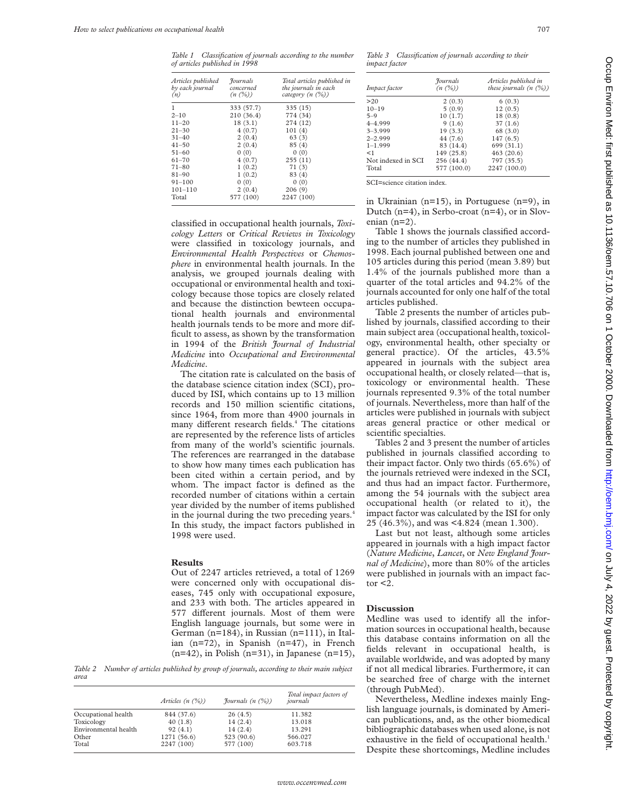*Table 1 Classification of journals according to the number of articles published in 1998*

| Articles published<br>by each journal<br>(n) | <i>Fournals</i><br>concerned<br>(n (%)) | Total articles published in<br>the journals in each<br>category $(n \ (%)$ |
|----------------------------------------------|-----------------------------------------|----------------------------------------------------------------------------|
| 1                                            | 333 (57.7)                              | 335(15)                                                                    |
| $2 - 10$                                     | 210 (36.4)                              | 774 (34)                                                                   |
| $11 - 20$                                    | 18(3.1)                                 | 274 (12)                                                                   |
| $21 - 30$                                    | 4(0.7)                                  | 101(4)                                                                     |
| $31 - 40$                                    | 2(0.4)                                  | 63(3)                                                                      |
| $41 - 50$                                    | 2(0.4)                                  | 85(4)                                                                      |
| $51 - 60$                                    | 0(0)                                    | 0(0)                                                                       |
| $61 - 70$                                    | 4(0.7)                                  | 255(11)                                                                    |
| $71 - 80$                                    | 1(0.2)                                  | 71(3)                                                                      |
| $81 - 90$                                    | 1(0.2)                                  | 83 (4)                                                                     |
| $91 - 100$                                   | 0(0)                                    | 0(0)                                                                       |
| $101 - 110$                                  | 2(0.4)                                  | 206(9)                                                                     |
| Total                                        | 577 (100)                               | 2247 (100)                                                                 |

classified in occupational health journals, *Toxicology Letters* or *Critical Reviews in Toxicology* were classified in toxicology journals, and *Environmental Health Perspectives* or *Chemosphere* in environmental health journals. In the analysis, we grouped journals dealing with occupational or environmental health and toxicology because those topics are closely related and because the distinction bewteen occupational health journals and environmental health journals tends to be more and more difficult to assess, as shown by the transformation in 1994 of the *British Journal of Industrial Medicine* into *Occupational and Environmental Medicine*.

The citation rate is calculated on the basis of the database science citation index (SCI), produced by ISI, which contains up to 13 million records and 150 million scientific citations, since 1964, from more than 4900 journals in many different research fields.<sup>4</sup> The citations are represented by the reference lists of articles from many of the world's scientific journals. The references are rearranged in the database to show how many times each publication has been cited within a certain period, and by whom. The impact factor is defined as the recorded number of citations within a certain year divided by the number of items published in the journal during the two preceding years.<sup>4</sup> In this study, the impact factors published in 1998 were used.

# **Results**

Out of 2247 articles retrieved, a total of 1269 were concerned only with occupational diseases, 745 only with occupational exposure, and 233 with both. The articles appeared in 577 different journals. Most of them were English language journals, but some were in German (n=184), in Russian (n=111), in Italian (n=72), in Spanish (n=47), in French  $(n=42)$ , in Polish  $(n=31)$ , in Japanese  $(n=15)$ ,

*Table 2 Number of articles published by group of journals, according to their main subject area*

|                      | Articles $(n \ (%)$ | $\mathcal{T}$ ournals (n $(\%)$ ) | Total impact factors of<br>journals |
|----------------------|---------------------|-----------------------------------|-------------------------------------|
| Occupational health  | 844 (37.6)          | 26(4.5)                           | 11.382                              |
| Toxicology           | 40(1.8)             | 14(2.4)                           | 13.018                              |
| Environmental health | 92(4.1)             | 14(2.4)                           | 13.291                              |
| Other                | 1271 (56.6)         | 523 (90.6)                        | 566.027                             |
| Total                | 2247 (100)          | 577 (100)                         | 603.718                             |

*Table 3 Classification of journals according to their impact factor*

| <i>Impact factor</i> | <b>Fournals</b><br>(n (%)) | Articles published in<br>these journals $(n(%)$ |
|----------------------|----------------------------|-------------------------------------------------|
| >20                  | 2(0.3)                     | 6(0.3)                                          |
| $10 - 19$            | 5(0.9)                     | 12(0.5)                                         |
| $5 - 9$              | 10(1.7)                    | 18(0.8)                                         |
| 4-4.999              | 9(1.6)                     | 37(1.6)                                         |
| $3 - 3.999$          | 19(3.3)                    | 68 (3.0)                                        |
| $2 - 2.999$          | 44 (7.6)                   | 147(6.5)                                        |
| $1 - 1.999$          | 83 (14.4)                  | 699 (31.1)                                      |
| <1                   | 149 (25.8)                 | 463(20.6)                                       |
| Not indexed in SCI   | 256 (44.4)                 | 797 (35.5)                                      |
| Total                | 577 (100.0)                | 2247 (100.0)                                    |

SCI=science citation index.

in Ukrainian (n=15), in Portuguese (n=9), in Dutch (n=4), in Serbo-croat (n=4), or in Slovenian (n=2).

Table 1 shows the journals classified according to the number of articles they published in 1998. Each journal published between one and 105 articles during this period (mean 3.89) but 1.4% of the journals published more than a quarter of the total articles and 94.2% of the journals accounted for only one half of the total articles published.

Table 2 presents the number of articles published by journals, classified according to their main subject area (occupational health, toxicology, environmental health, other specialty or general practice). Of the articles, 43.5% appeared in journals with the subject area occupational health, or closely related—that is, toxicology or environmental health. These journals represented 9.3% of the total number of journals. Nevertheless, more than half of the articles were published in journals with subject areas general practice or other medical or scientific specialties.

Tables 2 and 3 present the number of articles published in journals classified according to their impact factor. Only two thirds (65.6%) of the journals retrieved were indexed in the SCI, and thus had an impact factor. Furthermore, among the 54 journals with the subject area occupational health (or related to it), the impact factor was calculated by the ISI for only 25 (46.3%), and was <4.824 (mean 1.300).

Last but not least, although some articles appeared in journals with a high impact factor (*Nature Medicine*, *Lancet*, or *New England Journal of Medicine*), more than 80% of the articles were published in journals with an impact factor  $<$ 2.

## **Discussion**

Medline was used to identify all the information sources in occupational health, because this database contains information on all the fields relevant in occupational health, is available worldwide, and was adopted by many if not all medical libraries. Furthermore, it can be searched free of charge with the internet (through PubMed).

Nevertheless, Medline indexes mainly English language journals, is dominated by American publications, and, as the other biomedical bibliographic databases when used alone, is not exhaustive in the field of occupational health.<sup>1</sup> Despite these shortcomings, Medline includes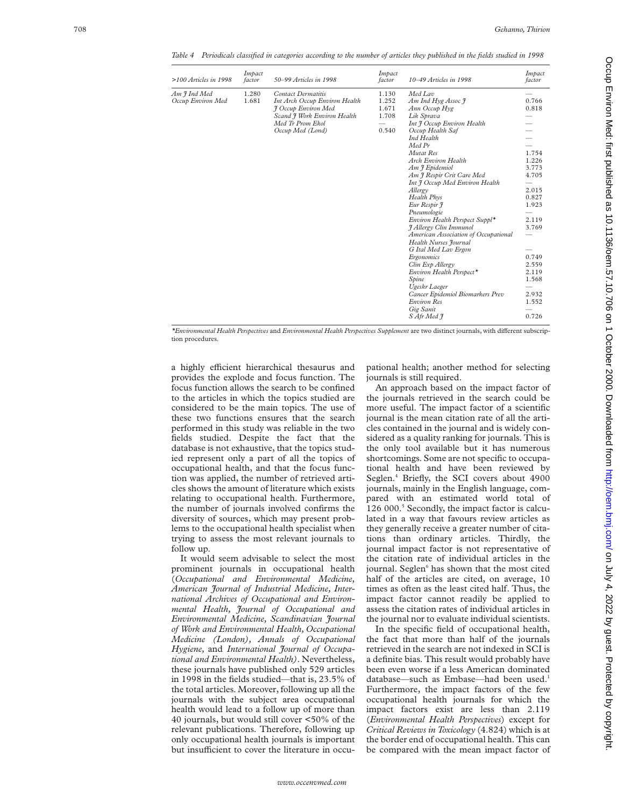| $>100$ Articles in 1998           | Impact<br>factor | 50–99 Articles in 1998                                                                                                                                   | Impact<br>factor                          | 10–49 Articles in 1998                                                                                                                                                                                                                                                                                                                                                                                                                                                                                                                                                                                                                               | Impact<br>factor                                                                                                                                                                           |
|-----------------------------------|------------------|----------------------------------------------------------------------------------------------------------------------------------------------------------|-------------------------------------------|------------------------------------------------------------------------------------------------------------------------------------------------------------------------------------------------------------------------------------------------------------------------------------------------------------------------------------------------------------------------------------------------------------------------------------------------------------------------------------------------------------------------------------------------------------------------------------------------------------------------------------------------------|--------------------------------------------------------------------------------------------------------------------------------------------------------------------------------------------|
| Am I Ind Med<br>Occup Environ Med | 1.280<br>1.681   | <b>Contact Dermatitis</b><br>Int Arch Occup Environ Health<br>I Occup Environ Med<br>Scand 7 Work Environ Health<br>Med Tr Prom Ekol<br>Occup Med (Lond) | 1.130<br>1.252<br>1.671<br>1.708<br>0.540 | Med Lav<br>Am Ind Hyg Assoc 9<br>Ann Occup Hyg<br>Lik Sprava<br>Int J Occup Environ Health<br>Occup Health Saf<br>Ind Health<br>Med Pr<br>Mutat Res<br>Arch Environ Health<br>Am J Epidemiol<br>Am J Respir Crit Care Med<br>Int I Occup Med Environ Health<br>Allergy<br><b>Health Phys</b><br>Eur Respir 7<br>Pneumologie<br>Environ Health Perspect Suppl*<br><i>Allergy Clin Immunol</i><br>American Association of Occupational<br>Health Nurses Journal<br>G Ital Med Lav Ergon<br>Ergonomics<br>Clin Exp Allergy<br>Environ Health Perspect*<br>Spine<br>Ugeskr Laeger<br>Cancer Epidemiol Biomarkers Prev<br><b>Environ</b> Res<br>Gig Sanit | 0.766<br>0.818<br>1.754<br>1.226<br>3.773<br>4.705<br>2.015<br>0.827<br>1.923<br>2.119<br>3.769<br>$\overline{\phantom{0}}$<br>0.749<br>2.559<br>2.119<br>1.568<br>2.932<br>1.552<br>0.726 |
|                                   |                  |                                                                                                                                                          |                                           | S Afr Med 7                                                                                                                                                                                                                                                                                                                                                                                                                                                                                                                                                                                                                                          |                                                                                                                                                                                            |

*Table 4 Periodicals classified in categories according to the number of articles they published in the fields studied in 1998*

\*Environmental Health Perspectives and Environmental Health Perspectives Supplement are two distinct journals, with different subscription procedures

a highly efficient hierarchical thesaurus and provides the explode and focus function. The focus function allows the search to be confined to the articles in which the topics studied are considered to be the main topics. The use of these two functions ensures that the search performed in this study was reliable in the two fields studied. Despite the fact that the database is not exhaustive, that the topics studied represent only a part of all the topics of occupational health, and that the focus function was applied, the number of retrieved articles shows the amount of literature which exists relating to occupational health. Furthermore, the number of journals involved confirms the diversity of sources, which may present problems to the occupational health specialist when trying to assess the most relevant journals to follow up.

It would seem advisable to select the most prominent journals in occupational health (*Occupational and Environmental Medicine, American Journal of Industrial Medicine, International Archives of Occupational and Environmental Health, Journal of Occupational and Environmental Medicine, Scandinavian Journal of Work and Environmental Health, Occupational Medicine (London), Annals of Occupational Hygiene,* and *International Journal of Occupational and Environmental Health)*. Nevertheless, these journals have published only 529 articles in 1998 in the fields studied—that is, 23.5% of the total articles. Moreover, following up all the journals with the subject area occupational health would lead to a follow up of more than 40 journals, but would still cover <50% of the relevant publications. Therefore, following up only occupational health journals is important but insufficient to cover the literature in occupational health; another method for selecting journals is still required.

An approach based on the impact factor of the journals retrieved in the search could be more useful. The impact factor of a scientific journal is the mean citation rate of all the articles contained in the journal and is widely considered as a quality ranking for journals. This is the only tool available but it has numerous shortcomings. Some are not specific to occupational health and have been reviewed by Seglen. <sup>4</sup> Briefly, the SCI covers about 4900 journals, mainly in the English language, compared with an estimated world total of 126 000. <sup>5</sup> Secondly, the impact factor is calculated in a way that favours review articles as they generally receive a greater number of citations than ordinary articles. Thirdly, the journal impact factor is not representative of the citation rate of individual articles in the journal. Seglen<sup>6</sup> has shown that the most cited half of the articles are cited, on average, 10 times as often as the least cited half. Thus, the impact factor cannot readily be applied to assess the citation rates of individual articles in the journal nor to evaluate individual scientists.

In the specific field of occupational health, the fact that more than half of the journals retrieved in the search are not indexed in SCI is a definite bias. This result would probably have been even worse if a less American dominated database—such as Embase—had been used. 1 Furthermore, the impact factors of the few occupational health journals for which the impact factors exist are less than 2.119 (*Environmental Health Perspectives*) except for *Critical Reviews in Toxicology* (4.824) which is at the border end of occupational health. This can be compared with the mean impact factor of